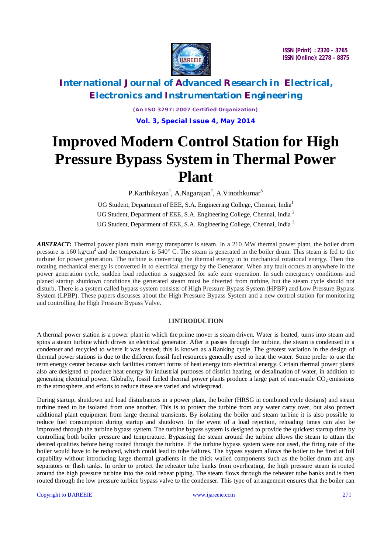

# **International Journal of Advanced Research in Electrical, Electronics and Instrumentation Engineering**

*(An ISO 3297: 2007 Certified Organization)* **Vol. 3, Special Issue 4, May 2014**

# **Improved Modern Control Station for High Pressure Bypass System in Thermal Power Plant**

P.Karthikeyan<sup>1</sup>, A.Nagarajan<sup>2</sup>, A.Vinothkumar<sup>3</sup>

UG Student, Department of EEE, S.A. Engineering College, Chennai, India<sup>1</sup> UG Student, Department of EEE, S.A. Engineering College, Chennai, India <sup>2</sup> UG Student, Department of EEE, S.A. Engineering College, Chennai, India<sup>3</sup>

*ABSTRACT***:** Thermal power plant main energy transporter is steam. In a 210 MW thermal power plant, the boiler drum pressure is 160 kg/cm<sup>2</sup> and the temperature is  $540^{\circ}$  C. The steam is generated in the boiler drum. This steam is fed to the turbine for power generation. The turbine is converting the thermal energy in to mechanical rotational energy. Then this rotating mechanical energy is converted in to electrical energy by the Generator. When any fault occurs at anywhere in the power generation cycle, sudden load reduction is suggested for safe zone operation. In such emergency conditions and planed startup shutdown conditions the generated steam must be diverted from turbine, but the steam cycle should not disturb. There is a system called bypass system consists of High Pressure Bypass System (HPBP) and Low Pressure Bypass System (LPBP). These papers discusses about the High Pressure Bypass System and a new control station for monitoring and controlling the High Pressure Bypass Valve.

### I.**INTRODUCTION**

A thermal power station is a power plant in which the prime mover is steam driven. Water is heated, turns into steam and spins a steam turbine which drives an electrical generator. After it passes through the turbine, the steam is condensed in a condenser and recycled to where it was heated; this is known as a Ranking cycle. The greatest variation in the design of thermal power stations is due to the different fossil fuel resources generally used to heat the water. Some prefer to use the term energy center because such facilities convert forms of heat energy into electrical energy. Certain thermal power plants also are designed to produce heat energy for industrial purposes of district heating, or desalination of water, in addition to generating electrical power. Globally, fossil fueled thermal power plants produce a large part of man-made  $CO<sub>2</sub>$  emissions to the atmosphere, and efforts to reduce these are varied and widespread.

During startup, shutdown and load disturbances in a power plant, the boiler (HRSG in combined cycle designs) and steam turbine need to be isolated from one another. This is to protect the turbine from any water carry over, but also protect additional plant equipment from large thermal transients. By isolating the boiler and steam turbine it is also possible to reduce fuel consumption during startup and shutdown. In the event of a load rejection, reloading times can also be improved through the turbine bypass system. The turbine bypass system is designed to provide the quickest startup time by controlling both boiler pressure and temperature. Bypassing the steam around the turbine allows the steam to attain the desired qualities before being routed through the turbine. If the turbine bypass system were not used, the firing rate of the boiler would have to be reduced, which could lead to tube failures. The bypass system allows the boiler to be fired at full capability without introducing large thermal gradients in the thick walled components such as the boiler drum and any separators or flash tanks. In order to protect the reheater tube banks from overheating, the high pressure steam is routed around the high pressure turbine into the cold reheat piping. The steam flows through the reheater tube banks and is then routed through the low pressure turbine bypass valve to the condenser. This type of arrangement ensures that the boiler can

Copyright to IJAREEIE www.ijareeie.com 271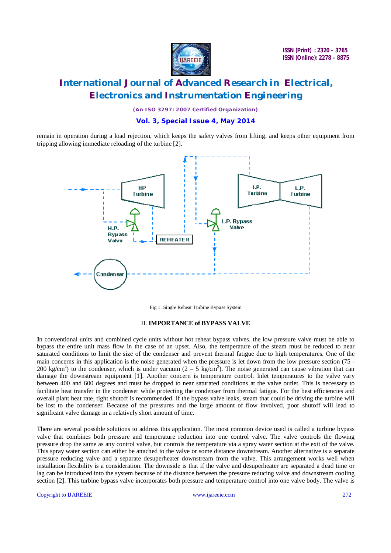

# **International Journal of Advanced Research in Electrical, Electronics and Instrumentation Engineering**

*(An ISO 3297: 2007 Certified Organization)*

### **Vol. 3, Special Issue 4, May 2014**

remain in operation during a load rejection, which keeps the safety valves from lifting, and keeps other equipment from tripping allowing immediate reloading of the turbine [2].



Fig 1: Single Reheat Turbine Bypass System

#### II. **IMPORTANCE of BYPASS VALVE**

**I**n conventional units and combined cycle units without hot reheat bypass valves, the low pressure valve must be able to bypass the entire unit mass flow in the case of an upset. Also, the temperature of the steam must be reduced to near saturated conditions to limit the size of the condenser and prevent thermal fatigue due to high temperatures. One of the main concerns in this application is the noise generated when the pressure is let down from the low pressure section (75 - 200 kg/cm<sup>2</sup>) to the condenser, which is under vacuum  $(2 - 5 \text{ kg/cm}^2)$ . The noise generated can cause vibration that can damage the downstream equipment [1]. Another concern is temperature control. Inlet temperatures to the valve vary between 400 and 600 degrees and must be dropped to near saturated conditions at the valve outlet. This is necessary to facilitate heat transfer in the condenser while protecting the condenser from thermal fatigue. For the best efficiencies and overall plant heat rate, tight shutoff is recommended. If the bypass valve leaks, steam that could be driving the turbine will be lost to the condenser. Because of the pressures and the large amount of flow involved, poor shutoff will lead to significant valve damage in a relatively short amount of time.

There are several possible solutions to address this application. The most common device used is called a turbine bypass valve that combines both pressure and temperature reduction into one control valve. The valve controls the flowing pressure drop the same as any control valve, but controls the temperature via a spray water section at the exit of the valve. This spray water section can either be attached to the valve or some distance downstream. Another alternative is a separate pressure reducing valve and a separate desuperheater downstream from the valve. This arrangement works well when installation flexibility is a consideration. The downside is that if the valve and desuperheater are separated a dead time or lag can be introduced into the system because of the distance between the pressure reducing valve and downstream cooling section [2]. This turbine bypass valve incorporates both pressure and temperature control into one valve body. The valve is

Copyright to IJAREEIE www.ijareeie.com 272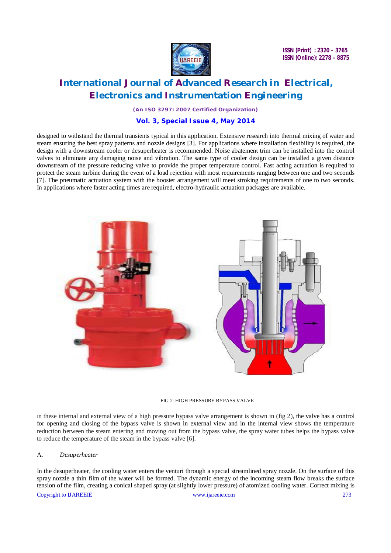

# **International Journal of Advanced Research in Electrical, Electronics and Instrumentation Engineering**

*(An ISO 3297: 2007 Certified Organization)*

### **Vol. 3, Special Issue 4, May 2014**

designed to withstand the thermal transients typical in this application. Extensive research into thermal mixing of water and steam ensuring the best spray patterns and nozzle designs [3]. For applications where installation flexibility is required, the design with a downstream cooler or desuperheater is recommended. Noise abatement trim can be installed into the control valves to eliminate any damaging noise and vibration. The same type of cooler design can be installed a given distance downstream of the pressure reducing valve to provide the proper temperature control. Fast acting actuation is required to protect the steam turbine during the event of a load rejection with most requirements ranging between one and two seconds [7]. The pneumatic actuation system with the booster arrangement will meet stroking requirements of one to two seconds. In applications where faster acting times are required, electro-hydraulic actuation packages are available.



#### FIG 2: HIGH PRESSURE BYPASS VALVE

In these internal and external view of a high pressure bypass valve arrangement is shown in (fig 2), the valve has a control for opening and closing of the bypass valve is shown in external view and in the internal view shows the temperature reduction between the steam entering and moving out from the bypass valve, the spray water tubes helps the bypass valve to reduce the temperature of the steam in the bypass valve [6].

#### A. *Desuperheater*

In the desuperheater, the cooling water enters the venturi through a special streamlined spray nozzle. On the surface of this spray nozzle a thin film of the water will be formed. The dynamic energy of the incoming steam flow breaks the surface tension of the film, creating a conical shaped spray (at slightly lower pressure) of atomized cooling water. Correct mixing is

Copyright to IJAREEIE www.ijareeie.com 273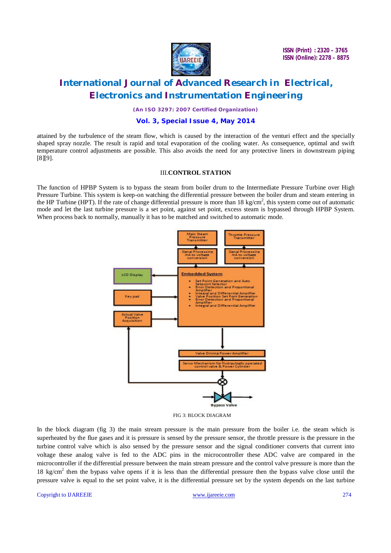

# **International Journal of Advanced Research in Electrical, Electronics and Instrumentation Engineering**

*(An ISO 3297: 2007 Certified Organization)*

### **Vol. 3, Special Issue 4, May 2014**

attained by the turbulence of the steam flow, which is caused by the interaction of the venturi effect and the specially shaped spray nozzle. The result is rapid and total evaporation of the cooling water. As consequence, optimal and swift temperature control adjustments are possible. This also avoids the need for any protective liners in downstream piping [8][9].

#### III.**CONTROL STATION**

The function of HPBP System is to bypass the steam from boiler drum to the Intermediate Pressure Turbine over High Pressure Turbine. This system is keep-on watching the differential pressure between the boiler drum and steam entering in the HP Turbine (HPT). If the rate of change differential pressure is more than  $18 \text{ kg/cm}^2$ , this system come out of automatic mode and let the last turbine pressure is a set point, against set point, excess steam is bypassed through HPBP System. When process back to normally, manually it has to be matched and switched to automatic mode.



FIG 3: BLOCK DIAGRAM

In the block diagram (fig 3) the main stream pressure is the main pressure from the boiler i.e. the steam which is superheated by the flue gases and it is pressure is sensed by the pressure sensor, the throttle pressure is the pressure in the turbine control valve which is also sensed by the pressure sensor and the signal conditioner converts that current into voltage these analog valve is fed to the ADC pins in the microcontroller these ADC valve are compared in the microcontroller if the differential pressure between the main stream pressure and the control valve pressure is more than the 18 kg/cm<sup>2</sup> then the bypass valve opens if it is less than the differential pressure then the bypass valve close until the pressure valve is equal to the set point valve, it is the differential pressure set by the system depends on the last turbine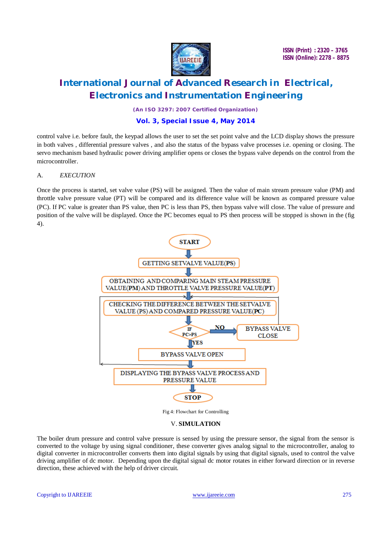

# **International Journal of Advanced Research in Electrical, Electronics and Instrumentation Engineering**

*(An ISO 3297: 2007 Certified Organization)*

### **Vol. 3, Special Issue 4, May 2014**

control valve i.e. before fault, the keypad allows the user to set the set point valve and the LCD display shows the pressure in both valves , differential pressure valves , and also the status of the bypass valve processes i.e. opening or closing. The servo mechanism based hydraulic power driving amplifier opens or closes the bypass valve depends on the control from the microcontroller.

#### A. *EXECUTION*

Once the process is started, set valve value (PS) will be assigned. Then the value of main stream pressure value (PM) and throttle valve pressure value (PT) will be compared and its difference value will be known as compared pressure value (PC). If PC value is greater than PS value, then PC is less than PS, then bypass valve will close. The value of pressure and position of the valve will be displayed. Once the PC becomes equal to PS then process will be stopped is shown in the (fig 4).



Fig 4: Flowchart for Controlling

#### V. **SIMULATION**

The boiler drum pressure and control valve pressure is sensed by using the pressure sensor, the signal from the sensor is converted to the voltage by using signal conditioner, these converter gives analog signal to the microcontroller, analog to digital converter in microcontroller converts them into digital signals by using that digital signals, used to control the valve driving amplifier of dc motor. Depending upon the digital signal dc motor rotates in either forward direction or in reverse direction, these achieved with the help of driver circuit.